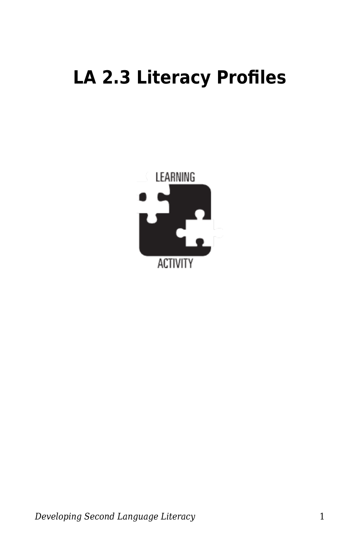## **LA 2.3 Literacy Profiles**

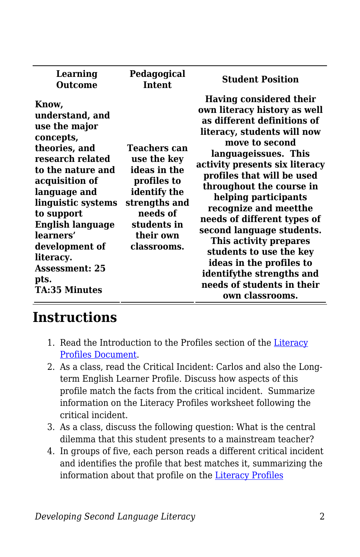| Learning<br>Outcome                                                                                                                                                                                                                                                                                             | Pedagogical<br><b>Intent</b>                                                                                                                              | <b>Student Position</b>                                                                                                                                                                                                                                                                                                                                                                                                                                                                                                                 |
|-----------------------------------------------------------------------------------------------------------------------------------------------------------------------------------------------------------------------------------------------------------------------------------------------------------------|-----------------------------------------------------------------------------------------------------------------------------------------------------------|-----------------------------------------------------------------------------------------------------------------------------------------------------------------------------------------------------------------------------------------------------------------------------------------------------------------------------------------------------------------------------------------------------------------------------------------------------------------------------------------------------------------------------------------|
| Know,<br>understand, and<br>use the major<br>concepts,<br>theories, and<br>research related<br>to the nature and<br>acquisition of<br>language and<br>linguistic systems<br>to support<br><b>English language</b><br>learners'<br>development of<br>literacy.<br><b>Assessment: 25</b><br>pts.<br>TA:35 Minutes | <b>Teachers can</b><br>use the key<br>ideas in the<br>profiles to<br>identify the<br>strengths and<br>needs of<br>students in<br>their own<br>classrooms. | Having considered their<br>own literacy history as well<br>as different definitions of<br>literacy, students will now<br>move to second<br>languageissues. This<br>activity presents six literacy<br>profiles that will be used<br>throughout the course in<br>helping participants<br>recognize and meetthe<br>needs of different types of<br>second language students.<br>This activity prepares<br>students to use the key<br>ideas in the profiles to<br>identifythe strengths and<br>needs of students in their<br>own classrooms. |

## **Instructions**

- 1. Read the Introduction to the Profiles section of the [Literacy](https://byu.box.com/s/lob8caani65xp5nu260yr3aqu177rpjc) [Profiles Document](https://byu.box.com/s/lob8caani65xp5nu260yr3aqu177rpjc).
- 2. As a class, read the Critical Incident: Carlos and also the Longterm English Learner Profile. Discuss how aspects of this profile match the facts from the critical incident. Summarize information on the Literacy Profiles worksheet following the critical incident.
- 3. As a class, discuss the following question: What is the central dilemma that this student presents to a mainstream teacher?
- 4. In groups of five, each person reads a different critical incident and identifies the profile that best matches it, summarizing the information about that profile on the [Literacy Profiles](https://byu.box.com/s/1u5mmj85s1lrjb1d83g4fp1qt8vqivpd)